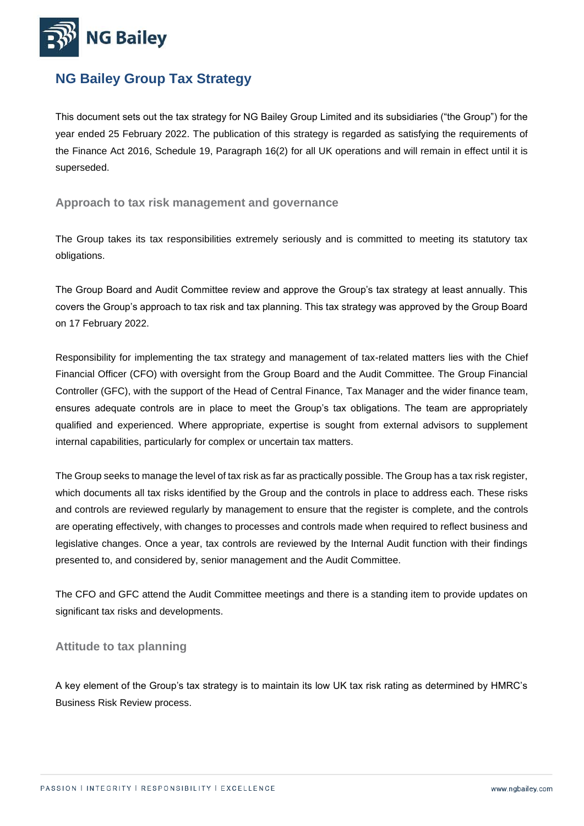

# **NG Bailey Group Tax Strategy**

This document sets out the tax strategy for NG Bailey Group Limited and its subsidiaries ("the Group") for the year ended 25 February 2022. The publication of this strategy is regarded as satisfying the requirements of the Finance Act 2016, Schedule 19, Paragraph 16(2) for all UK operations and will remain in effect until it is superseded.

#### **Approach to tax risk management and governance**

The Group takes its tax responsibilities extremely seriously and is committed to meeting its statutory tax obligations.

The Group Board and Audit Committee review and approve the Group's tax strategy at least annually. This covers the Group's approach to tax risk and tax planning. This tax strategy was approved by the Group Board on 17 February 2022.

Responsibility for implementing the tax strategy and management of tax-related matters lies with the Chief Financial Officer (CFO) with oversight from the Group Board and the Audit Committee. The Group Financial Controller (GFC), with the support of the Head of Central Finance, Tax Manager and the wider finance team, ensures adequate controls are in place to meet the Group's tax obligations. The team are appropriately qualified and experienced. Where appropriate, expertise is sought from external advisors to supplement internal capabilities, particularly for complex or uncertain tax matters.

The Group seeks to manage the level of tax risk as far as practically possible. The Group has a tax risk register, which documents all tax risks identified by the Group and the controls in place to address each. These risks and controls are reviewed regularly by management to ensure that the register is complete, and the controls are operating effectively, with changes to processes and controls made when required to reflect business and legislative changes. Once a year, tax controls are reviewed by the Internal Audit function with their findings presented to, and considered by, senior management and the Audit Committee.

The CFO and GFC attend the Audit Committee meetings and there is a standing item to provide updates on significant tax risks and developments.

#### **Attitude to tax planning**

A key element of the Group's tax strategy is to maintain its low UK tax risk rating as determined by HMRC's Business Risk Review process.